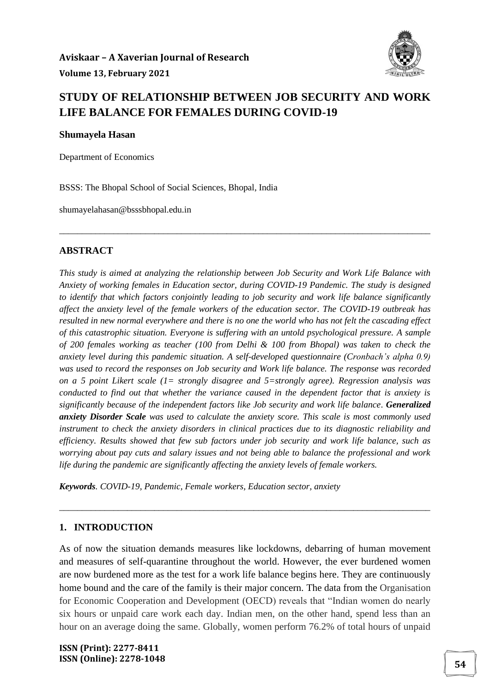

### **STUDY OF RELATIONSHIP BETWEEN JOB SECURITY AND WORK LIFE BALANCE FOR FEMALES DURING COVID-19**

\_\_\_\_\_\_\_\_\_\_\_\_\_\_\_\_\_\_\_\_\_\_\_\_\_\_\_\_\_\_\_\_\_\_\_\_\_\_\_\_\_\_\_\_\_\_\_\_\_\_\_\_\_\_\_\_\_\_\_\_\_\_\_\_\_\_\_\_\_\_\_\_\_\_\_\_\_\_\_\_\_\_

**Shumayela Hasan**

Department of Economics

BSSS: The Bhopal School of Social Sciences, Bhopal, India

shumayelahasan@bsssbhopal.edu.in

#### **ABSTRACT**

*This study is aimed at analyzing the relationship between Job Security and Work Life Balance with Anxiety of working females in Education sector, during COVID-19 Pandemic. The study is designed to identify that which factors conjointly leading to job security and work life balance significantly affect the anxiety level of the female workers of the education sector. The COVID-19 outbreak has resulted in new normal everywhere and there is no one the world who has not felt the cascading effect of this catastrophic situation. Everyone is suffering with an untold psychological pressure. A sample of 200 females working as teacher (100 from Delhi & 100 from Bhopal) was taken to check the anxiety level during this pandemic situation. A self-developed questionnaire (Cronbach's alpha 0.9) was used to record the responses on Job security and Work life balance. The response was recorded on a 5 point Likert scale (1= strongly disagree and 5=strongly agree). Regression analysis was conducted to find out that whether the variance caused in the dependent factor that is anxiety is significantly because of the independent factors like Job security and work life balance. Generalized anxiety Disorder Scale was used to calculate the anxiety score. This scale is most commonly used instrument to check the anxiety disorders in clinical practices due to its diagnostic reliability and efficiency. Results showed that few sub factors under job security and work life balance, such as worrying about pay cuts and salary issues and not being able to balance the professional and work life during the pandemic are significantly affecting the anxiety levels of female workers.*

*Keywords. COVID-19, Pandemic, Female workers, Education sector, anxiety* 

#### **1. INTRODUCTION**

As of now the situation demands measures like lockdowns, debarring of human movement and measures of self-quarantine throughout the world. However, the ever burdened women are now burdened more as the test for a work life balance begins here. They are continuously home bound and the care of the family is their major concern. The data from the Organisation for Economic Cooperation and Development (OECD) reveals that "Indian women do nearly six hours or unpaid care work each day. Indian men, on the other hand, spend less than an hour on an average doing the same. Globally, women perform 76.2% of total hours of unpaid

\_\_\_\_\_\_\_\_\_\_\_\_\_\_\_\_\_\_\_\_\_\_\_\_\_\_\_\_\_\_\_\_\_\_\_\_\_\_\_\_\_\_\_\_\_\_\_\_\_\_\_\_\_\_\_\_\_\_\_\_\_\_\_\_\_\_\_\_\_\_\_\_\_\_\_\_\_\_\_\_\_\_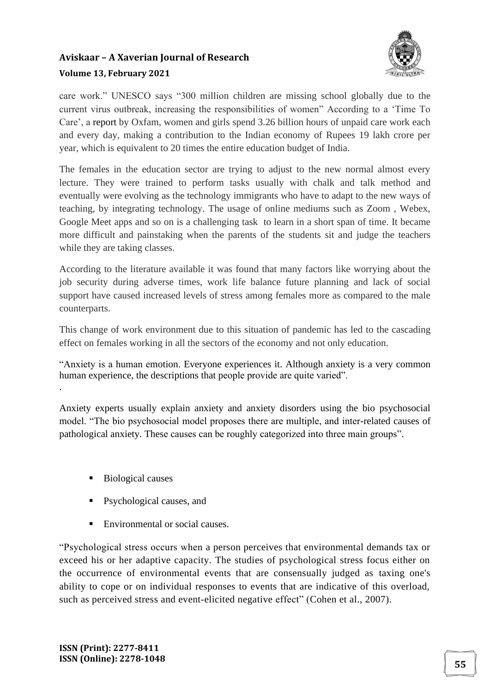

care work." UNESCO says "300 million children are missing school globally due to the current virus outbreak, increasing the responsibilities of women" According to a 'Time To Care', a report by Oxfam, women and girls spend 3.26 billion hours of unpaid care work each and every day, making a contribution to the Indian economy of Rupees 19 lakh crore per year, which is equivalent to 20 times the entire education budget of India.

The females in the education sector are trying to adjust to the new normal almost every lecture. They were trained to perform tasks usually with chalk and talk method and eventually were evolving as the technology immigrants who have to adapt to the new ways of teaching, by integrating technology. The usage of online mediums such as Zoom , Webex, Google Meet apps and so on is a challenging task to learn in a short span of time. It became more difficult and painstaking when the parents of the students sit and judge the teachers while they are taking classes.

According to the literature available it was found that many factors like worrying about the job security during adverse times, work life balance future planning and lack of social support have caused increased levels of stress among females more as compared to the male counterparts.

This change of work environment due to this situation of pandemic has led to the cascading effect on females working in all the sectors of the economy and not only education.

"Anxiety is a human emotion. Everyone experiences it. Although anxiety is a very common human experience, the descriptions that people provide are quite varied".

Anxiety experts usually explain anxiety and anxiety disorders using the bio psychosocial model. "The bio psychosocial model proposes there are multiple, and inter-related causes of pathological anxiety. These causes can be roughly categorized into three main groups".

■ Biological causes

.

- Psychological causes, and
- Environmental or social causes.

"Psychological stress occurs when a person perceives that environmental demands tax or exceed his or her adaptive capacity. The studies of psychological stress focus either on the occurrence of environmental events that are consensually judged as taxing one's ability to cope or on individual responses to events that are indicative of this overload, such as perceived stress and event-elicited negative effect" (Cohen et al., 2007).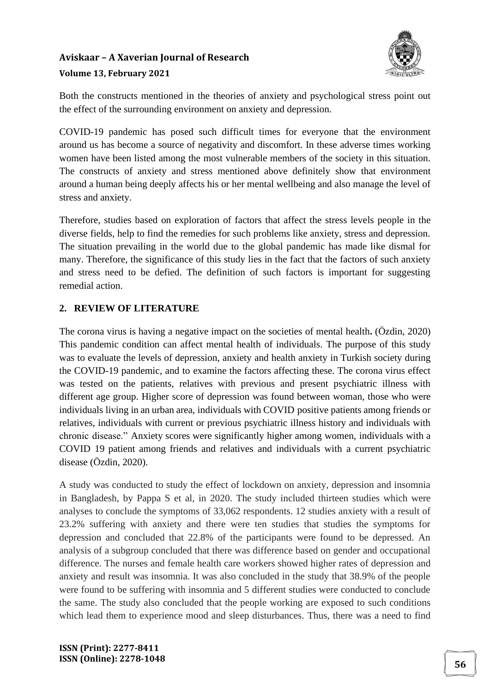

Both the constructs mentioned in the theories of anxiety and psychological stress point out the effect of the surrounding environment on anxiety and depression.

COVID-19 pandemic has posed such difficult times for everyone that the environment around us has become a source of negativity and discomfort. In these adverse times working women have been listed among the most vulnerable members of the society in this situation. The constructs of anxiety and stress mentioned above definitely show that environment around a human being deeply affects his or her mental wellbeing and also manage the level of stress and anxiety.

Therefore, studies based on exploration of factors that affect the stress levels people in the diverse fields, help to find the remedies for such problems like anxiety, stress and depression. The situation prevailing in the world due to the global pandemic has made like dismal for many. Therefore, the significance of this study lies in the fact that the factors of such anxiety and stress need to be defied. The definition of such factors is important for suggesting remedial action.

#### **2. REVIEW OF LITERATURE**

The corona virus is having a negative impact on the societies of mental health**.** (Özdin, 2020) This pandemic condition can affect mental health of individuals. The purpose of this study was to evaluate the levels of depression, anxiety and health anxiety in Turkish society during the COVID-19 pandemic, and to examine the factors affecting these. The corona virus effect was tested on the patients, relatives with previous and present psychiatric illness with different age group. Higher score of depression was found between woman, those who were individuals living in an urban area, individuals with COVID positive patients among friends or relatives, individuals with current or previous psychiatric illness history and individuals with chronic disease." Anxiety scores were significantly higher among women, individuals with a COVID 19 patient among friends and relatives and individuals with a current psychiatric disease (Özdin, 2020).

A study was conducted to study the effect of lockdown on anxiety, depression and insomnia in Bangladesh, by Pappa S et al, in 2020. The study included thirteen studies which were analyses to conclude the symptoms of 33,062 respondents. 12 studies anxiety with a result of 23.2% suffering with anxiety and there were ten studies that studies the symptoms for depression and concluded that 22.8% of the participants were found to be depressed. An analysis of a subgroup concluded that there was difference based on gender and occupational difference. The nurses and female health care workers showed higher rates of depression and anxiety and result was insomnia. It was also concluded in the study that 38.9% of the people were found to be suffering with insomnia and 5 different studies were conducted to conclude the same. The study also concluded that the people working are exposed to such conditions which lead them to experience mood and sleep disturbances. Thus, there was a need to find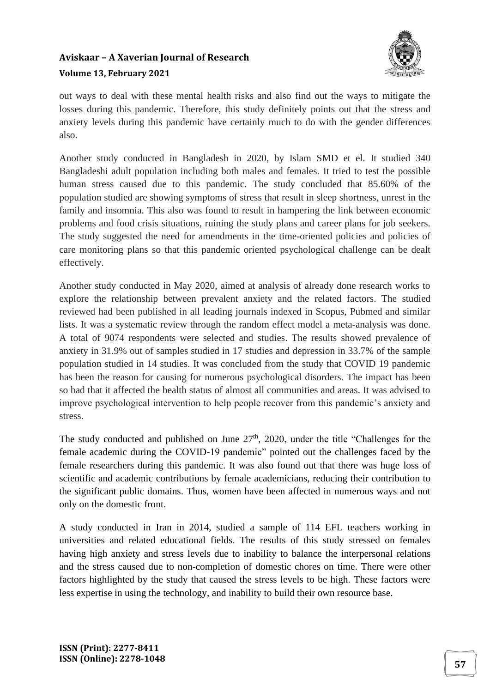

out ways to deal with these mental health risks and also find out the ways to mitigate the losses during this pandemic. Therefore, this study definitely points out that the stress and anxiety levels during this pandemic have certainly much to do with the gender differences also.

Another study conducted in Bangladesh in 2020, by Islam SMD et el. It studied 340 Bangladeshi adult population including both males and females. It tried to test the possible human stress caused due to this pandemic. The study concluded that 85.60% of the population studied are showing symptoms of stress that result in sleep shortness, unrest in the family and insomnia. This also was found to result in hampering the link between economic problems and food crisis situations, ruining the study plans and career plans for job seekers. The study suggested the need for amendments in the time-oriented policies and policies of care monitoring plans so that this pandemic oriented psychological challenge can be dealt effectively.

Another study conducted in May 2020, aimed at analysis of already done research works to explore the relationship between prevalent anxiety and the related factors. The studied reviewed had been published in all leading journals indexed in Scopus, Pubmed and similar lists. It was a systematic review through the random effect model a meta-analysis was done. A total of 9074 respondents were selected and studies. The results showed prevalence of anxiety in 31.9% out of samples studied in 17 studies and depression in 33.7% of the sample population studied in 14 studies. It was concluded from the study that COVID 19 pandemic has been the reason for causing for numerous psychological disorders. The impact has been so bad that it affected the health status of almost all communities and areas. It was advised to improve psychological intervention to help people recover from this pandemic's anxiety and stress.

The study conducted and published on June  $27<sup>th</sup>$ , 2020, under the title "Challenges for the female academic during the COVID-19 pandemic" pointed out the challenges faced by the female researchers during this pandemic. It was also found out that there was huge loss of scientific and academic contributions by female academicians, reducing their contribution to the significant public domains. Thus, women have been affected in numerous ways and not only on the domestic front.

A study conducted in Iran in 2014, studied a sample of 114 EFL teachers working in universities and related educational fields. The results of this study stressed on females having high anxiety and stress levels due to inability to balance the interpersonal relations and the stress caused due to non-completion of domestic chores on time. There were other factors highlighted by the study that caused the stress levels to be high. These factors were less expertise in using the technology, and inability to build their own resource base.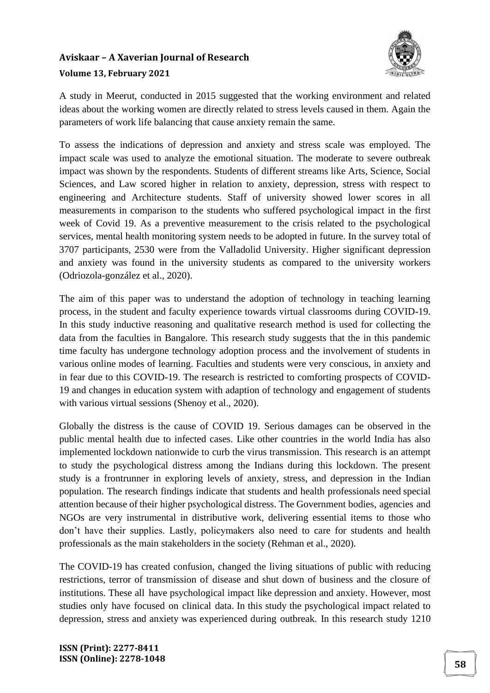

A study in Meerut, conducted in 2015 suggested that the working environment and related ideas about the working women are directly related to stress levels caused in them. Again the parameters of work life balancing that cause anxiety remain the same.

To assess the indications of depression and anxiety and stress scale was employed. The impact scale was used to analyze the emotional situation. The moderate to severe outbreak impact was shown by the respondents. Students of different streams like Arts, Science, Social Sciences, and Law scored higher in relation to anxiety, depression, stress with respect to engineering and Architecture students. Staff of university showed lower scores in all measurements in comparison to the students who suffered psychological impact in the first week of Covid 19. As a preventive measurement to the crisis related to the psychological services, mental health monitoring system needs to be adopted in future. In the survey total of 3707 participants, 2530 were from the Valladolid University. Higher significant depression and anxiety was found in the university students as compared to the university workers (Odriozola-gonzález et al., 2020).

The aim of this paper was to understand the adoption of technology in teaching learning process, in the student and faculty experience towards virtual classrooms during COVID-19. In this study inductive reasoning and qualitative research method is used for collecting the data from the faculties in Bangalore. This research study suggests that the in this pandemic time faculty has undergone technology adoption process and the involvement of students in various online modes of learning. Faculties and students were very conscious, in anxiety and in fear due to this COVID-19. The research is restricted to comforting prospects of COVID-19 and changes in education system with adaption of technology and engagement of students with various virtual sessions (Shenoy et al., 2020).

Globally the distress is the cause of COVID 19. Serious damages can be observed in the public mental health due to infected cases. Like other countries in the world India has also implemented lockdown nationwide to curb the virus transmission. This research is an attempt to study the psychological distress among the Indians during this lockdown. The present study is a frontrunner in exploring levels of anxiety, stress, and depression in the Indian population. The research findings indicate that students and health professionals need special attention because of their higher psychological distress. The Government bodies, agencies and NGOs are very instrumental in distributive work, delivering essential items to those who don't have their supplies. Lastly, policymakers also need to care for students and health professionals as the main stakeholders in the society (Rehman et al., 2020).

The COVID-19 has created confusion, changed the living situations of public with reducing restrictions, terror of transmission of disease and shut down of business and the closure of institutions. These all have psychological impact like depression and anxiety. However, most studies only have focused on clinical data. In this study the psychological impact related to depression, stress and anxiety was experienced during outbreak. In this research study 1210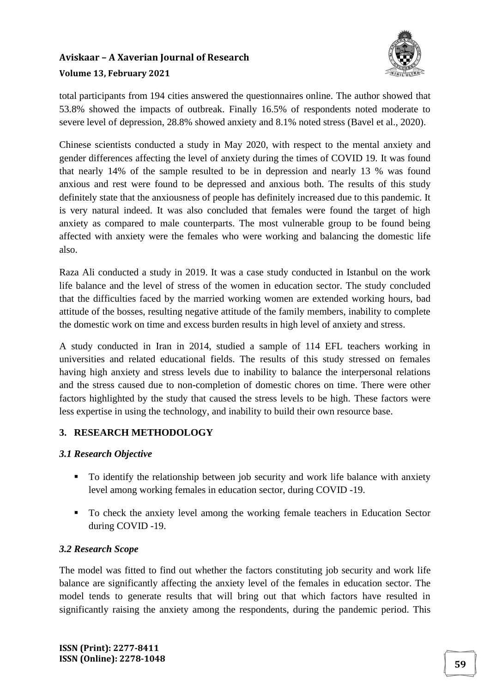

total participants from 194 cities answered the questionnaires online. The author showed that 53.8% showed the impacts of outbreak. Finally 16.5% of respondents noted moderate to severe level of depression, 28.8% showed anxiety and 8.1% noted stress (Bavel et al., 2020).

Chinese scientists conducted a study in May 2020, with respect to the mental anxiety and gender differences affecting the level of anxiety during the times of COVID 19. It was found that nearly 14% of the sample resulted to be in depression and nearly 13 % was found anxious and rest were found to be depressed and anxious both. The results of this study definitely state that the anxiousness of people has definitely increased due to this pandemic. It is very natural indeed. It was also concluded that females were found the target of high anxiety as compared to male counterparts. The most vulnerable group to be found being affected with anxiety were the females who were working and balancing the domestic life also.

Raza Ali conducted a study in 2019. It was a case study conducted in Istanbul on the work life balance and the level of stress of the women in education sector. The study concluded that the difficulties faced by the married working women are extended working hours, bad attitude of the bosses, resulting negative attitude of the family members, inability to complete the domestic work on time and excess burden results in high level of anxiety and stress.

A study conducted in Iran in 2014, studied a sample of 114 EFL teachers working in universities and related educational fields. The results of this study stressed on females having high anxiety and stress levels due to inability to balance the interpersonal relations and the stress caused due to non-completion of domestic chores on time. There were other factors highlighted by the study that caused the stress levels to be high. These factors were less expertise in using the technology, and inability to build their own resource base.

#### **3. RESEARCH METHODOLOGY**

#### *3.1 Research Objective*

- To identify the relationship between job security and work life balance with anxiety level among working females in education sector, during COVID -19.
- To check the anxiety level among the working female teachers in Education Sector during COVID -19.

#### *3.2 Research Scope*

The model was fitted to find out whether the factors constituting job security and work life balance are significantly affecting the anxiety level of the females in education sector. The model tends to generate results that will bring out that which factors have resulted in significantly raising the anxiety among the respondents, during the pandemic period. This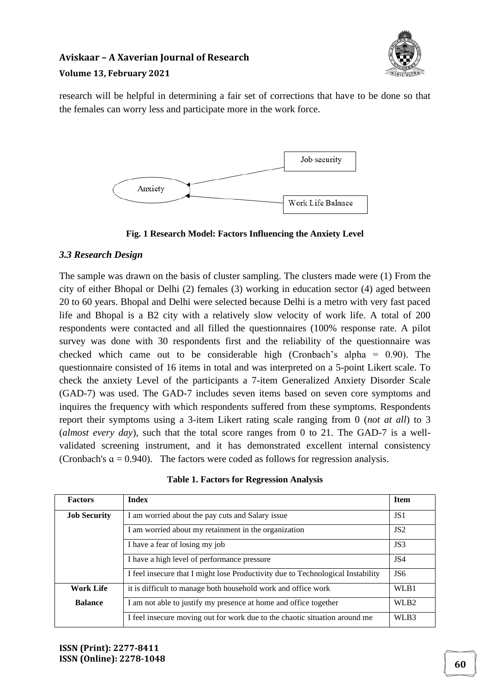

research will be helpful in determining a fair set of corrections that have to be done so that the females can worry less and participate more in the work force.



**Fig. 1 Research Model: Factors Influencing the Anxiety Level** 

#### *3.3 Research Design*

The sample was drawn on the basis of cluster sampling. The clusters made were (1) From the city of either Bhopal or Delhi (2) females (3) working in education sector (4) aged between 20 to 60 years. Bhopal and Delhi were selected because Delhi is a metro with very fast paced life and Bhopal is a B2 city with a relatively slow velocity of work life. A total of 200 respondents were contacted and all filled the questionnaires (100% response rate. A pilot survey was done with 30 respondents first and the reliability of the questionnaire was checked which came out to be considerable high (Cronbach's alpha = 0.90). The questionnaire consisted of 16 items in total and was interpreted on a 5-point Likert scale. To check the anxiety Level of the participants a 7-item Generalized Anxiety Disorder Scale (GAD-7) was used. The GAD-7 includes seven items based on seven core symptoms and inquires the frequency with which respondents suffered from these symptoms. Respondents report their symptoms using a 3-item Likert rating scale ranging from 0 (*not at all*) to 3 (*almost every day*), such that the total score ranges from 0 to 21. The GAD-7 is a wellvalidated screening instrument, and it has demonstrated excellent internal consistency (Cronbach's  $a = 0.940$ ). The factors were coded as follows for regression analysis.

| <b>Factors</b>      | <b>Index</b>                                                                    | <b>Item</b>      |
|---------------------|---------------------------------------------------------------------------------|------------------|
| <b>Job Security</b> | I am worried about the pay cuts and Salary issue                                | JS1              |
|                     | I am worried about my retainment in the organization                            | JS2              |
|                     | I have a fear of losing my job                                                  | JS3              |
|                     | I have a high level of performance pressure                                     | JS4              |
|                     | I feel insecure that I might lose Productivity due to Technological Instability | JS6              |
| <b>Work Life</b>    | it is difficult to manage both household work and office work                   | WLB1             |
| <b>Balance</b>      | I am not able to justify my presence at home and office together                | WLB <sub>2</sub> |
|                     | I feel insecure moving out for work due to the chaotic situation around me      | WLB3             |

**Table 1. Factors for Regression Analysis**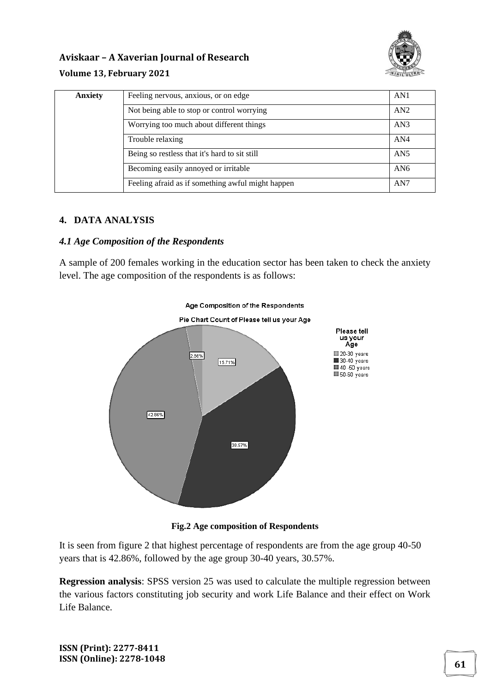

# **Aviskaar – A Xaverian Journal of Research**

#### **Volume 13, February 2021**

| <b>Anxiety</b> | Feeling nervous, anxious, or on edge              | AN1             |
|----------------|---------------------------------------------------|-----------------|
|                | Not being able to stop or control worrying        | AN2             |
|                | Worrying too much about different things          | AN3             |
|                | Trouble relaxing                                  | AN <sub>4</sub> |
|                | Being so restless that it's hard to sit still     | AN <sub>5</sub> |
|                | Becoming easily annoyed or irritable              | AN6             |
|                | Feeling afraid as if something awful might happen | AN7             |

#### **4. DATA ANALYSIS**

#### *4.1 Age Composition of the Respondents*

A sample of 200 females working in the education sector has been taken to check the anxiety level. The age composition of the respondents is as follows:



**Fig.2 Age composition of Respondents** 

It is seen from figure 2 that highest percentage of respondents are from the age group 40-50 years that is 42.86%, followed by the age group 30-40 years, 30.57%.

**Regression analysis**: SPSS version 25 was used to calculate the multiple regression between the various factors constituting job security and work Life Balance and their effect on Work Life Balance.

**ISSN (Print): 2277-8411 ISSN (Online): 2278-1048 61**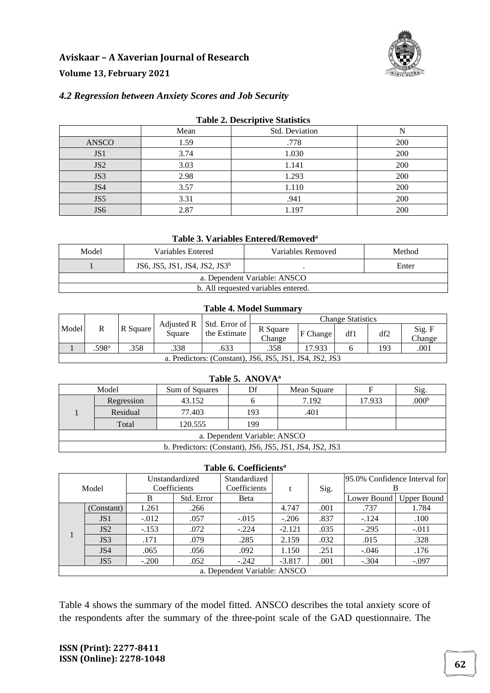

#### *4.2 Regression between Anxiety Scores and Job Security*

| <b>Table 2. Descriptive Statistics</b> |      |                |     |  |  |  |  |  |
|----------------------------------------|------|----------------|-----|--|--|--|--|--|
|                                        | Mean | Std. Deviation | N   |  |  |  |  |  |
| ANSCO                                  | 1.59 | .778           | 200 |  |  |  |  |  |
| JS1                                    | 3.74 | 1.030          | 200 |  |  |  |  |  |
| JS <sub>2</sub>                        | 3.03 | 1.141          | 200 |  |  |  |  |  |
| JS3                                    | 2.98 | 1.293          | 200 |  |  |  |  |  |
| JS4                                    | 3.57 | 1.110          | 200 |  |  |  |  |  |
| JS5                                    | 3.31 | .941           | 200 |  |  |  |  |  |
| JS6                                    | 2.87 | 1.197          | 200 |  |  |  |  |  |

#### **Table 2. Descriptive Statistics**

#### **Table 3. Variables Entered/Removed<sup>a</sup>**

| Model                               | Variables Entered                         | Variables Removed | Method |  |  |  |
|-------------------------------------|-------------------------------------------|-------------------|--------|--|--|--|
|                                     | JS6, JS5, JS1, JS4, JS2, JS3 <sup>b</sup> |                   | Enter  |  |  |  |
| a. Dependent Variable: ANSCO        |                                           |                   |        |  |  |  |
| b. All requested variables entered. |                                           |                   |        |  |  |  |

#### **Table 4. Model Summary**

|       |                                                         |          |        | Adjusted R   Std. Error of | <b>Change Statistics</b> |          |     |     |                  |
|-------|---------------------------------------------------------|----------|--------|----------------------------|--------------------------|----------|-----|-----|------------------|
| Model | R                                                       | R Square | Square | the Estimate               | R Square<br>Change       | F Change | df1 | df2 | Sig. F<br>Change |
|       | .598ª                                                   | .358     | .338   | .633                       | .358                     | 17.933   |     | 193 | .001             |
|       | a. Predictors: (Constant), JS6, JS5, JS1, JS4, JS2, JS3 |          |        |                            |                          |          |     |     |                  |

| Model                                                   |            | Sum of Squares |     | Mean Square |        | Sig.              |  |  |
|---------------------------------------------------------|------------|----------------|-----|-------------|--------|-------------------|--|--|
|                                                         | Regression | 43.152         |     | 7.192       | 17.933 | .000 <sup>b</sup> |  |  |
|                                                         | Residual   | 77.403         | 193 | .401        |        |                   |  |  |
|                                                         | Total      | 120.555        | 199 |             |        |                   |  |  |
| a. Dependent Variable: ANSCO                            |            |                |     |             |        |                   |  |  |
| b. Predictors: (Constant), JS6, JS5, JS1, JS4, JS2, JS3 |            |                |     |             |        |                   |  |  |

#### **Table 6. Coefficients<sup>a</sup>**

| Model |                              | Unstandardized |            | Standardized |          |      | 95.0% Confidence Interval for |                           |  |
|-------|------------------------------|----------------|------------|--------------|----------|------|-------------------------------|---------------------------|--|
|       |                              | Coefficients   |            | Coefficients |          | Sig. |                               |                           |  |
|       |                              | B              | Std. Error | Beta         |          |      |                               | Lower Bound   Upper Bound |  |
|       | (Constant)                   | 1.261          | .266       |              | 4.747    | .001 | .737                          | 1.784                     |  |
|       | JS <sub>1</sub>              | $-.012$        | .057       | $-.015$      | $-.206$  | .837 | $-.124$                       | .100                      |  |
|       | JS2                          | $-.153$        | .072       | $-.224$      | $-2.121$ | .035 | $-.295$                       | $-.011$                   |  |
|       | JS3                          | .171           | .079       | .285         | 2.159    | .032 | .015                          | .328                      |  |
|       | JS4                          | .065           | .056       | .092         | 1.150    | .251 | $-.046$                       | .176                      |  |
|       | JS <sub>5</sub>              | $-.200$        | .052       | $-.242$      | $-3.817$ | .001 | $-.304$                       | $-.097$                   |  |
|       | a. Dependent Variable: ANSCO |                |            |              |          |      |                               |                           |  |

Table 4 shows the summary of the model fitted. ANSCO describes the total anxiety score of the respondents after the summary of the three-point scale of the GAD questionnaire. The

**ISSN (Print): 2277-8411 ISSN (Online): 2278-1048 62**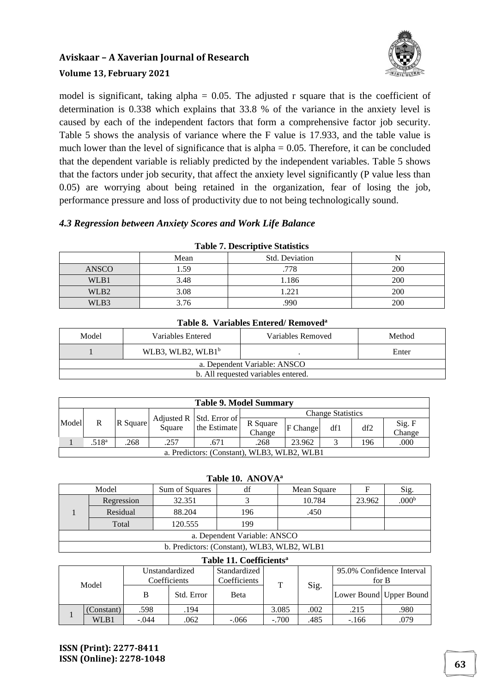

model is significant, taking alpha =  $0.05$ . The adjusted r square that is the coefficient of determination is 0.338 which explains that 33.8 % of the variance in the anxiety level is caused by each of the independent factors that form a comprehensive factor job security. Table 5 shows the analysis of variance where the F value is 17.933, and the table value is much lower than the level of significance that is  $alpha = 0.05$ . Therefore, it can be concluded that the dependent variable is reliably predicted by the independent variables. Table 5 shows that the factors under job security, that affect the anxiety level significantly (P value less than 0.05) are worrying about being retained in the organization, fear of losing the job, performance pressure and loss of productivity due to not being technologically sound.

#### *4.3 Regression between Anxiety Scores and Work Life Balance*

| Table <i>1:</i> Descriptive Builderes |      |                |     |  |  |  |  |
|---------------------------------------|------|----------------|-----|--|--|--|--|
|                                       | Mean | Std. Deviation |     |  |  |  |  |
| <b>ANSCO</b>                          | .59  | .778           | 200 |  |  |  |  |
| WLB1                                  | 3.48 | 1.186          | 200 |  |  |  |  |
| WLB <sub>2</sub>                      | 3.08 | 221            | 200 |  |  |  |  |
| WLB3                                  | 3.76 | .990           | 200 |  |  |  |  |

#### **Table 7. Descriptive Statistics**

| Tabic 0. Variabics Elitered/Reliivved |                      |                   |        |  |  |  |  |  |
|---------------------------------------|----------------------|-------------------|--------|--|--|--|--|--|
| Model                                 | Variables Entered    | Variables Removed | Method |  |  |  |  |  |
|                                       | WLB3, WLB2, WLB $1b$ |                   | Enter  |  |  |  |  |  |
| a. Dependent Variable: ANSCO          |                      |                   |        |  |  |  |  |  |
| b. All requested variables entered.   |                      |                   |        |  |  |  |  |  |

#### **Table 8. Variables Entered/ Removed<sup>a</sup>**

| <b>Table 9. Model Summary</b>                          |                                             |          |        |              |                    |          |     |     |                  |
|--------------------------------------------------------|---------------------------------------------|----------|--------|--------------|--------------------|----------|-----|-----|------------------|
| <b>Change Statistics</b><br>Adjusted R   Std. Error of |                                             |          |        |              |                    |          |     |     |                  |
| Model                                                  | R                                           | R Square | Square | the Estimate | R Square<br>Change | F Change | df1 | df2 | Sig. F<br>Change |
|                                                        | .518 <sup>a</sup>                           | .268     | .257   | .671         | .268               | 23.962   |     | 196 | .000             |
|                                                        | a. Predictors: (Constant), WLB3, WLB2, WLB1 |          |        |              |                    |          |     |     |                  |

#### **Table 10. ANOVA<sup>a</sup>**

| Model                                       |                      | df<br>Sum of Squares |     | Mean Square | F      | Sig.              |  |  |
|---------------------------------------------|----------------------|----------------------|-----|-------------|--------|-------------------|--|--|
|                                             | Regression<br>32.351 |                      |     | 10.784      | 23.962 | .000 <sup>b</sup> |  |  |
|                                             | Residual             | 88.204               | 196 | .450        |        |                   |  |  |
|                                             | Total                | 120.555              | 199 |             |        |                   |  |  |
| a. Dependent Variable: ANSCO                |                      |                      |     |             |        |                   |  |  |
| b. Predictors: (Constant), WLB3, WLB2, WLB1 |                      |                      |     |             |        |                   |  |  |

#### **Table 11. Coefficients<sup>a</sup>** Model Unstandardized **Coefficients** Standardized  $\overline{\text{Coefficients}}$  T Sig. 95.0% Confidence Interval for B B Std. Error Beta Lower Bound Upper Bound 1 1980. | 194 .194 .194 .002 .215 .080 .980. | Constant) 079. | WLB1 | -.044 | .062 | -.066 | -.700 | .485 | -.166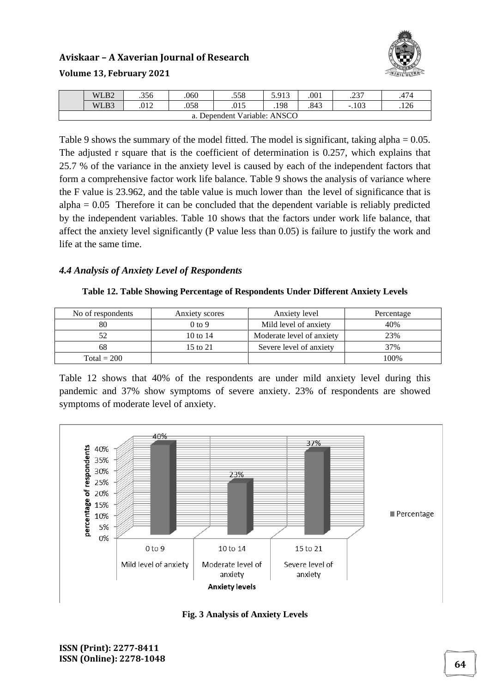

|                           | WLB <sub>2</sub> | .356 | .060 | .558 | 5.913 | .001 | າາາ<br>. د پ | 474  |  |
|---------------------------|------------------|------|------|------|-------|------|--------------|------|--|
|                           | WLB3             | .012 | .058 | .015 | .198  | .843 | .103<br>- 1  | .126 |  |
| Dependent Variable: ANSCO |                  |      |      |      |       |      |              |      |  |

Table 9 shows the summary of the model fitted. The model is significant, taking alpha = 0.05. The adjusted r square that is the coefficient of determination is 0.257, which explains that 25.7 % of the variance in the anxiety level is caused by each of the independent factors that form a comprehensive factor work life balance. Table 9 shows the analysis of variance where the F value is 23.962, and the table value is much lower than the level of significance that is  $alpha = 0.05$  Therefore it can be concluded that the dependent variable is reliably predicted by the independent variables. Table 10 shows that the factors under work life balance, that affect the anxiety level significantly (P value less than 0.05) is failure to justify the work and life at the same time.

#### *4.4 Analysis of Anxiety Level of Respondents*

| No of respondents | Anxiety scores | Anxiety level             | Percentage |
|-------------------|----------------|---------------------------|------------|
| 80                | $0$ to 9       | Mild level of anxiety     | 40%        |
| 52                | 10 to 14       | Moderate level of anxiety | 23%        |
| 68                | 15 to 21       | Severe level of anxiety   | 37%        |
| $Total = 200$     |                |                           | 100%       |

Table 12 shows that 40% of the respondents are under mild anxiety level during this pandemic and 37% show symptoms of severe anxiety. 23% of respondents are showed symptoms of moderate level of anxiety.



**Fig. 3 Analysis of Anxiety Levels**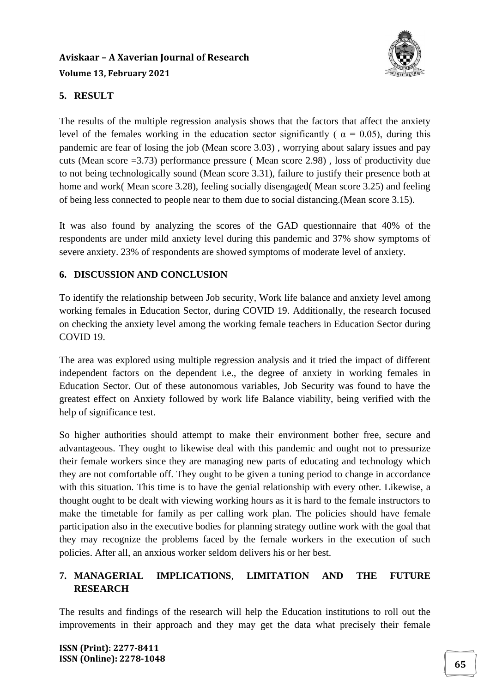

#### **5. RESULT**

The results of the multiple regression analysis shows that the factors that affect the anxiety level of the females working in the education sector significantly (  $\alpha = 0.05$ ), during this pandemic are fear of losing the job (Mean score 3.03) , worrying about salary issues and pay cuts (Mean score =3.73) performance pressure ( Mean score 2.98) , loss of productivity due to not being technologically sound (Mean score 3.31), failure to justify their presence both at home and work( Mean score 3.28), feeling socially disengaged( Mean score 3.25) and feeling of being less connected to people near to them due to social distancing.(Mean score 3.15).

It was also found by analyzing the scores of the GAD questionnaire that 40% of the respondents are under mild anxiety level during this pandemic and 37% show symptoms of severe anxiety. 23% of respondents are showed symptoms of moderate level of anxiety.

#### **6. DISCUSSION AND CONCLUSION**

To identify the relationship between Job security, Work life balance and anxiety level among working females in Education Sector, during COVID 19. Additionally, the research focused on checking the anxiety level among the working female teachers in Education Sector during COVID 19.

The area was explored using multiple regression analysis and it tried the impact of different independent factors on the dependent i.e., the degree of anxiety in working females in Education Sector. Out of these autonomous variables, Job Security was found to have the greatest effect on Anxiety followed by work life Balance viability, being verified with the help of significance test.

So higher authorities should attempt to make their environment bother free, secure and advantageous. They ought to likewise deal with this pandemic and ought not to pressurize their female workers since they are managing new parts of educating and technology which they are not comfortable off. They ought to be given a tuning period to change in accordance with this situation. This time is to have the genial relationship with every other. Likewise, a thought ought to be dealt with viewing working hours as it is hard to the female instructors to make the timetable for family as per calling work plan. The policies should have female participation also in the executive bodies for planning strategy outline work with the goal that they may recognize the problems faced by the female workers in the execution of such policies. After all, an anxious worker seldom delivers his or her best.

### **7. MANAGERIAL IMPLICATIONS**, **LIMITATION AND THE FUTURE RESEARCH**

The results and findings of the research will help the Education institutions to roll out the improvements in their approach and they may get the data what precisely their female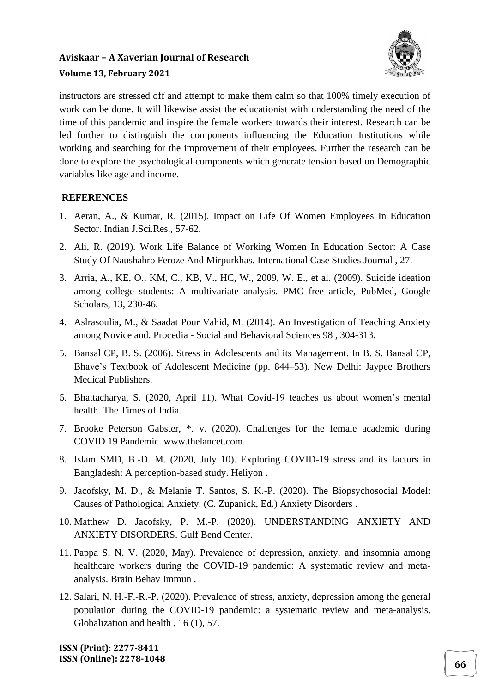

instructors are stressed off and attempt to make them calm so that 100% timely execution of work can be done. It will likewise assist the educationist with understanding the need of the time of this pandemic and inspire the female workers towards their interest. Research can be led further to distinguish the components influencing the Education Institutions while working and searching for the improvement of their employees. Further the research can be done to explore the psychological components which generate tension based on Demographic variables like age and income.

#### **REFERENCES**

- 1. Aeran, A., & Kumar, R. (2015). Impact on Life Of Women Employees In Education Sector. Indian J.Sci.Res., 57-62.
- 2. Ali, R. (2019). Work Life Balance of Working Women In Education Sector: A Case Study Of Naushahro Feroze And Mirpurkhas. International Case Studies Journal , 27.
- 3. Arria, A., KE, O., KM, C., KB, V., HC, W., 2009, W. E., et al. (2009). Suicide ideation among college students: A multivariate analysis. PMC free article, PubMed, Google Scholars, 13, 230-46.
- 4. Aslrasoulia, M., & Saadat Pour Vahid, M. (2014). An Investigation of Teaching Anxiety among Novice and. Procedia - Social and Behavioral Sciences 98 , 304-313.
- 5. Bansal CP, B. S. (2006). Stress in Adolescents and its Management. In B. S. Bansal CP, Bhave's Textbook of Adolescent Medicine (pp. 844–53). New Delhi: Jaypee Brothers Medical Publishers.
- 6. Bhattacharya, S. (2020, April 11). What Covid-19 teaches us about women's mental health. The Times of India.
- 7. Brooke Peterson Gabster, \*. v. (2020). Challenges for the female academic during COVID 19 Pandemic. www.thelancet.com.
- 8. Islam SMD, B.-D. M. (2020, July 10). Exploring COVID-19 stress and its factors in Bangladesh: A perception-based study. Heliyon .
- 9. Jacofsky, M. D., & Melanie T. Santos, S. K.-P. (2020). The Biopsychosocial Model: Causes of Pathological Anxiety. (C. Zupanick, Ed.) Anxiety Disorders .
- 10. Matthew D. Jacofsky, P. M.-P. (2020). UNDERSTANDING ANXIETY AND ANXIETY DISORDERS. Gulf Bend Center.
- 11. Pappa S, N. V. (2020, May). Prevalence of depression, anxiety, and insomnia among healthcare workers during the COVID-19 pandemic: A systematic review and metaanalysis. Brain Behav Immun .
- 12. Salari, N. H.-F.-R.-P. (2020). Prevalence of stress, anxiety, depression among the general population during the COVID-19 pandemic: a systematic review and meta-analysis. Globalization and health , 16 (1), 57.

**ISSN (Print): 2277-8411 ISSN (Online): 2278-1048 <sup>66</sup>**